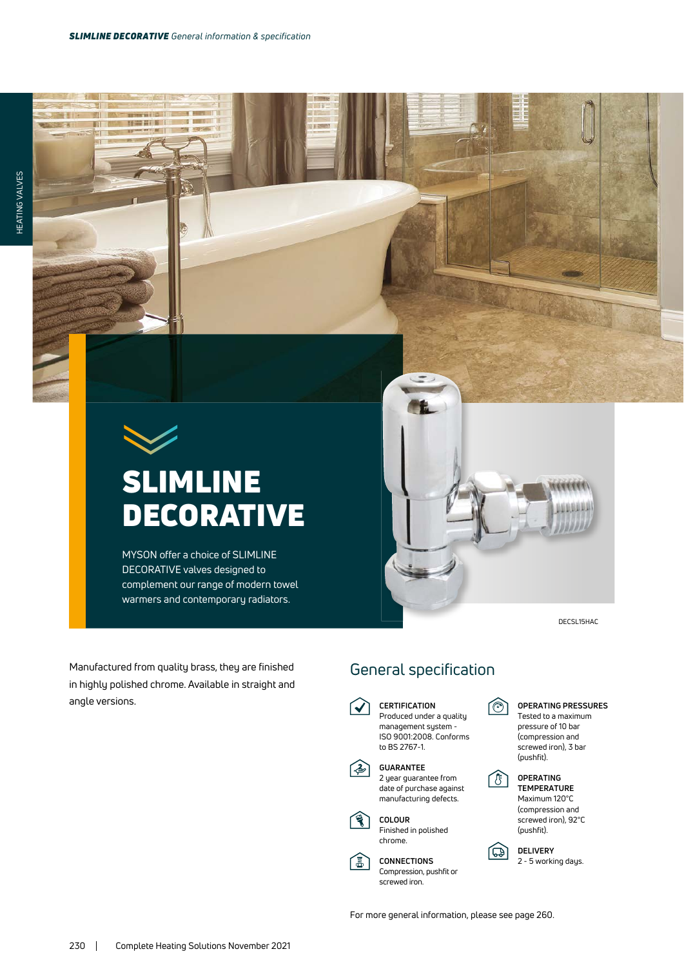--

m

## SLIMLINE **DECORATIVE**

MYSON offer a choice of SLIMLINE DECORATIVE valves designed to complement our range of modern towel warmers and contemporary radiators.

Manufactured from quality brass, they are finished in highly polished chrome. Available in straight and

angle versions.

DECSL15HAC

## General specification

**CERTIFICATION**  $\blacktriangledown$ Produced under a quality management system - ISO 9001:2008. Conforms to BS 2767-1.

**GUARANTEE** 2 year guarantee from date of purchase against manufacturing defects.



**高** 

**CONNECTIONS** Compression, pushfit or screwed iron.

তি

LBJ

म्बो



 **TEMPERATURE** Maximum 120°C (compression and screwed iron), 92°C (pushfit).

**DELIVERY** 2 - 5 working days.

For more general information, please see page 260.